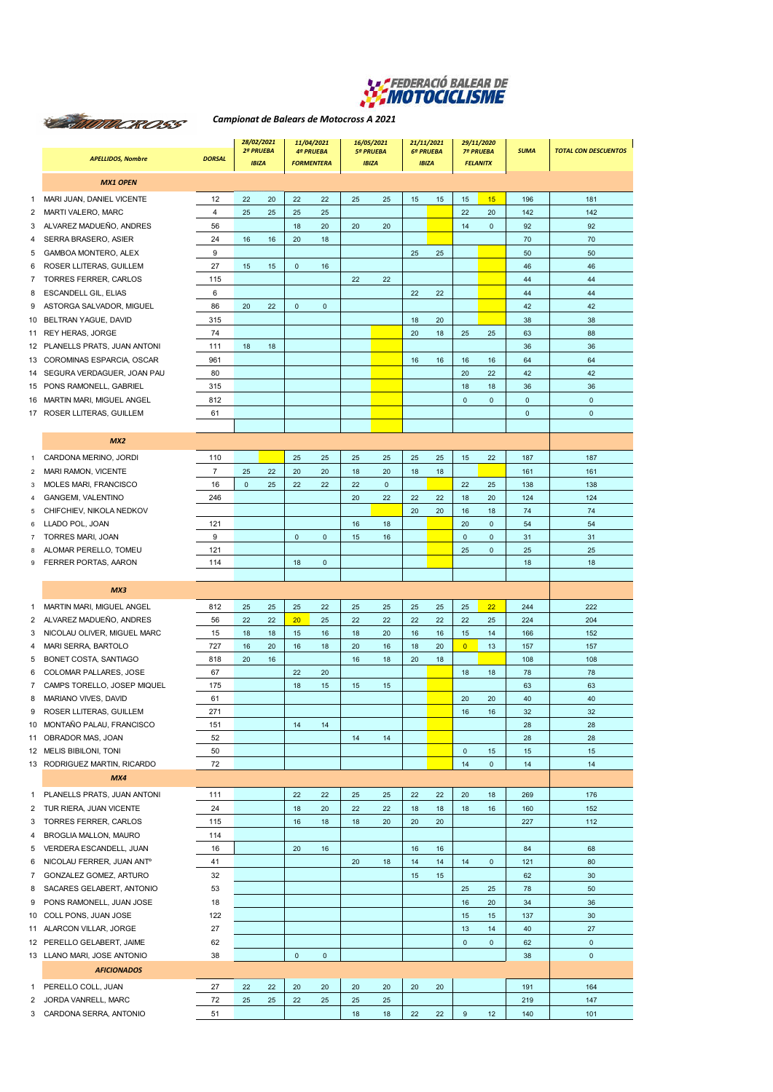

## *Campionat de Balears de Motocross A 2021*

|              | <b>APELLIDOS, Nombre</b>                                       | <b>DORSAL</b>        | 28/02/2021<br>2ª PRUEBA<br><b>IBIZA</b> |          | 11/04/2021<br><b>4ª PRUEBA</b><br><b>FORMENTERA</b> |             | 16/05/2021<br><b>5ª PRUEBA</b><br><b>IBIZA</b> |              | 21/11/2021<br>6ª PRUEBA<br><b>IBIZA</b> |    | 29/11/2020<br><b>7º PRUEBA</b><br><b>FELANITX</b> |                     | <b>SUMA</b>  | <b>TOTAL CON DESCUENTOS</b>                |
|--------------|----------------------------------------------------------------|----------------------|-----------------------------------------|----------|-----------------------------------------------------|-------------|------------------------------------------------|--------------|-----------------------------------------|----|---------------------------------------------------|---------------------|--------------|--------------------------------------------|
|              | <b>MX1 OPEN</b>                                                |                      |                                         |          |                                                     |             |                                                |              |                                         |    |                                                   |                     |              |                                            |
|              |                                                                |                      |                                         |          |                                                     |             |                                                |              |                                         |    |                                                   |                     |              |                                            |
| 1<br>2       | MARI JUAN, DANIEL VICENTE<br>MARTI VALERO, MARC                | 12<br>$\overline{4}$ | 22<br>25                                | 20<br>25 | 22<br>25                                            | 22<br>25    | 25                                             | 25           | 15                                      | 15 | 15<br>22                                          | 15<br>20            | 196<br>142   | 181<br>142                                 |
| 3            | ALVAREZ MADUEÑO, ANDRES                                        | 56                   |                                         |          | 18                                                  | 20          | 20                                             | 20           |                                         |    | 14                                                | $\mathbf{0}$        | 92           | 92                                         |
| 4            | SERRA BRASERO, ASIER                                           | 24                   | 16                                      | 16       | 20                                                  | 18          |                                                |              |                                         |    |                                                   |                     | 70           | 70                                         |
| 5            | GAMBOA MONTERO, ALEX                                           | 9                    |                                         |          |                                                     |             |                                                |              | 25                                      | 25 |                                                   |                     | 50           | 50                                         |
| 6            | ROSER LLITERAS, GUILLEM                                        | 27                   | 15                                      | 15       | $\mathbf 0$                                         | 16          |                                                |              |                                         |    |                                                   |                     | 46           | 46                                         |
| 7            | TORRES FERRER, CARLOS                                          | 115                  |                                         |          |                                                     |             | 22                                             | 22           |                                         |    |                                                   |                     | 44           | 44                                         |
| 8            | <b>ESCANDELL GIL, ELIAS</b>                                    | 6                    |                                         |          |                                                     |             |                                                |              | 22                                      | 22 |                                                   |                     | 44           | 44                                         |
| 9            | ASTORGA SALVADOR, MIGUEL                                       | 86                   | 20                                      | 22       | $\pmb{0}$                                           | $\mathbf 0$ |                                                |              |                                         |    |                                                   |                     | 42           | 42                                         |
|              | 10 BELTRAN YAGUE, DAVID                                        | 315                  |                                         |          |                                                     |             |                                                |              | 18                                      | 20 |                                                   |                     | 38           | 38                                         |
|              | 11 REY HERAS, JORGE                                            | 74                   |                                         |          |                                                     |             |                                                |              | 20                                      | 18 | 25                                                | 25                  | 63           | 88                                         |
|              | 12 PLANELLS PRATS, JUAN ANTONI<br>13 COROMINAS ESPARCIA, OSCAR | 111<br>961           | 18                                      | 18       |                                                     |             |                                                |              | 16                                      | 16 | 16                                                | 16                  | 36<br>64     | 36<br>64                                   |
|              | 14 SEGURA VERDAGUER, JOAN PAU                                  | 80                   |                                         |          |                                                     |             |                                                |              |                                         |    | 20                                                | 22                  | 42           | 42                                         |
| 15           | PONS RAMONELL, GABRIEL                                         | 315                  |                                         |          |                                                     |             |                                                |              |                                         |    | 18                                                | 18                  | 36           | 36                                         |
| 16           | MARTIN MARI, MIGUEL ANGEL                                      | 812                  |                                         |          |                                                     |             |                                                |              |                                         |    | $\pmb{0}$                                         | $\mathbf{0}$        | $\pmb{0}$    | $\pmb{0}$                                  |
|              | 17 ROSER LLITERAS, GUILLEM                                     | 61                   |                                         |          |                                                     |             |                                                |              |                                         |    |                                                   |                     | $\mathbf{0}$ | $\mathbf 0$                                |
|              |                                                                |                      |                                         |          |                                                     |             |                                                |              |                                         |    |                                                   |                     |              |                                            |
|              | MX2                                                            |                      |                                         |          |                                                     |             |                                                |              |                                         |    |                                                   |                     |              |                                            |
| 1            | CARDONA MERINO, JORDI                                          | 110                  |                                         |          | 25                                                  | 25          | 25                                             | 25           | 25                                      | 25 | 15                                                | 22                  | 187          | 187                                        |
| 2            | MARI RAMON, VICENTE                                            | $\overline{7}$       | 25                                      | 22       | 20                                                  | 20          | 18                                             | 20           | 18                                      | 18 |                                                   |                     | 161          | 161                                        |
| 3            | MOLES MARI, FRANCISCO                                          | 16                   | $\mathbf{0}$                            | 25       | 22                                                  | 22          | 22                                             | $\mathbf{0}$ |                                         |    | 22                                                | 25                  | 138          | 138                                        |
| 4            | GANGEMI, VALENTINO                                             | 246                  |                                         |          |                                                     |             | 20                                             | 22           | 22                                      | 22 | 18                                                | 20                  | 124          | 124                                        |
| 5            | CHIFCHIEV, NIKOLA NEDKOV                                       |                      |                                         |          |                                                     |             |                                                |              | 20                                      | 20 | 16                                                | 18                  | 74           | 74                                         |
| 6            | LLADO POL, JOAN                                                | 121                  |                                         |          |                                                     |             | 16                                             | 18           |                                         |    | 20                                                | $\mathbf{0}$        | 54           | 54                                         |
| 7            | TORRES MARI, JOAN                                              | 9                    |                                         |          | $\mathbf{0}$                                        | $\mathbf 0$ | 15                                             | 16           |                                         |    | $\mathbf{0}$                                      | $\mathbf{0}$        | 31           | 31                                         |
| 8<br>9       | ALOMAR PERELLO, TOMEU<br>FERRER PORTAS, AARON                  | 121<br>114           |                                         |          | 18                                                  | $\mathbf 0$ |                                                |              |                                         |    | 25                                                | $\mathbf{0}$        | 25<br>18     | 25<br>18                                   |
|              |                                                                |                      |                                         |          |                                                     |             |                                                |              |                                         |    |                                                   |                     |              |                                            |
|              | MX3                                                            |                      |                                         |          |                                                     |             |                                                |              |                                         |    |                                                   |                     |              |                                            |
| $\mathbf{1}$ | MARTIN MARI, MIGUEL ANGEL                                      | 812                  | 25                                      | 25       | 25                                                  | 22          | 25                                             | 25           | 25                                      | 25 | 25                                                | 22                  | 244          | 222                                        |
| 2            | ALVAREZ MADUEÑO, ANDRES                                        | 56                   | 22                                      | 22       | 20                                                  | 25          | 22                                             | 22           | 22                                      | 22 | 22                                                | 25                  | 224          | 204                                        |
| 3            | NICOLAU OLIVER, MIGUEL MARC                                    | 15                   | 18                                      | 18       | 15                                                  | 16          | 18                                             | 20           | 16                                      | 16 | 15                                                | 14                  | 166          | 152                                        |
| 4            | MARI SERRA, BARTOLO                                            | 727                  | 16                                      | 20       | 16                                                  | 18          | 20                                             | 16           | 18                                      | 20 | $\overline{0}$                                    | 13                  | 157          | 157                                        |
| 5            | <b>BONET COSTA, SANTIAGO</b>                                   | 818                  | 20                                      | 16       |                                                     |             | 16                                             | 18           | 20                                      | 18 |                                                   |                     | 108          | 108                                        |
| 6            | COLOMAR PALLARES, JOSE                                         | 67                   |                                         |          | 22                                                  | 20          |                                                |              |                                         |    | 18                                                | 18                  | 78           | 78                                         |
| 7            | CAMPS TORELLO, JOSEP MIQUEL                                    | 175                  |                                         |          | 18                                                  | 15          | 15                                             | 15           |                                         |    |                                                   |                     | 63           | 63                                         |
| 8            | MARIANO VIVES, DAVID                                           | 61                   |                                         |          |                                                     |             |                                                |              |                                         |    | 20                                                | 20                  | 40           | 40                                         |
| 9            | ROSER LLITERAS, GUILLEM                                        | 271                  |                                         |          |                                                     |             |                                                |              |                                         |    | 16                                                | 16                  | 32           | 32                                         |
|              | 10 MONTAÑO PALAU, FRANCISCO<br>11 OBRADOR MAS, JOAN            | 151<br>52            |                                         |          | 14                                                  | 14          | 14                                             | 14           |                                         |    |                                                   |                     | 28<br>28     | 28<br>28                                   |
|              | 12 MELIS BIBILONI, TONI                                        | 50                   |                                         |          |                                                     |             |                                                |              |                                         |    | $\mathbf 0$                                       | 15                  | 15           | 15                                         |
|              | 13 RODRIGUEZ MARTIN, RICARDO                                   | 72                   |                                         |          |                                                     |             |                                                |              |                                         |    | 14                                                | $\mathbf 0$         | 14           | 14                                         |
|              | MX4                                                            |                      |                                         |          |                                                     |             |                                                |              |                                         |    |                                                   |                     |              |                                            |
|              | 1 PLANELLS PRATS, JUAN ANTONI                                  | 111                  |                                         |          | 22                                                  | 22          | 25                                             | 25           | 22                                      | 22 | 20                                                | 18                  | 269          | 176                                        |
|              | 2 TUR RIERA, JUAN VICENTE                                      | 24                   |                                         |          | 18                                                  | 20          | 22                                             | 22           | 18                                      | 18 | 18                                                | 16                  | 160          | 152                                        |
|              | 3 TORRES FERRER, CARLOS                                        | 115                  |                                         |          | 16                                                  | 18          | 18                                             | 20           | 20                                      | 20 |                                                   |                     | 227          | 112                                        |
| 4            | BROGLIA MALLON, MAURO                                          | 114                  |                                         |          |                                                     |             |                                                |              |                                         |    |                                                   |                     |              |                                            |
|              | 5 VERDERA ESCANDELL, JUAN                                      | 16                   |                                         |          | 20                                                  | 16          |                                                |              | 16                                      | 16 |                                                   |                     | 84           | 68                                         |
| 6            | NICOLAU FERRER, JUAN ANTº                                      | 41                   |                                         |          |                                                     |             | 20                                             | 18           | 14                                      | 14 | 14                                                | $\mathsf{O}\xspace$ | 121          | 80                                         |
|              | 7 GONZALEZ GOMEZ, ARTURO                                       | 32                   |                                         |          |                                                     |             |                                                |              | 15                                      | 15 |                                                   |                     | 62           | 30                                         |
| 8            | SACARES GELABERT, ANTONIO                                      | 53                   |                                         |          |                                                     |             |                                                |              |                                         |    | 25                                                | 25                  | 78           | 50                                         |
| 9            | PONS RAMONELL, JUAN JOSE                                       | 18                   |                                         |          |                                                     |             |                                                |              |                                         |    | 16                                                | 20                  | 34           | 36                                         |
|              | 10 COLL PONS, JUAN JOSE                                        | 122                  |                                         |          |                                                     |             |                                                |              |                                         |    | 15                                                | 15                  | 137          | 30                                         |
|              | 11 ALARCON VILLAR, JORGE                                       | 27                   |                                         |          |                                                     |             |                                                |              |                                         |    | 13                                                | 14                  | 40           | 27                                         |
|              | 12 PERELLO GELABERT, JAIME                                     | 62<br>38             |                                         |          | $\pmb{0}$                                           | $\mathbf 0$ |                                                |              |                                         |    | $\mathsf{O}\xspace$                               | $\mathbf 0$         | 62           | $\mathsf{O}\xspace$<br>$\mathsf{O}\xspace$ |
|              | 13 LLANO MARI, JOSE ANTONIO<br><b>AFICIONADOS</b>              |                      |                                         |          |                                                     |             |                                                |              |                                         |    |                                                   |                     | 38           |                                            |
|              |                                                                |                      |                                         |          |                                                     |             |                                                |              |                                         |    |                                                   |                     |              |                                            |
|              | 1 PERELLO COLL, JUAN                                           | 27                   | 22                                      | 22       | 20                                                  | 20          | 20                                             | 20           | 20                                      | 20 |                                                   |                     | 191          | 164                                        |
| 2            | JORDA VANRELL, MARC<br>3 CARDONA SERRA, ANTONIO                | 72<br>51             | 25                                      | 25       | 22                                                  | 25          | 25<br>18                                       | 25<br>18     | 22                                      | 22 | 9                                                 | 12                  | 219<br>140   | 147<br>101                                 |
|              |                                                                |                      |                                         |          |                                                     |             |                                                |              |                                         |    |                                                   |                     |              |                                            |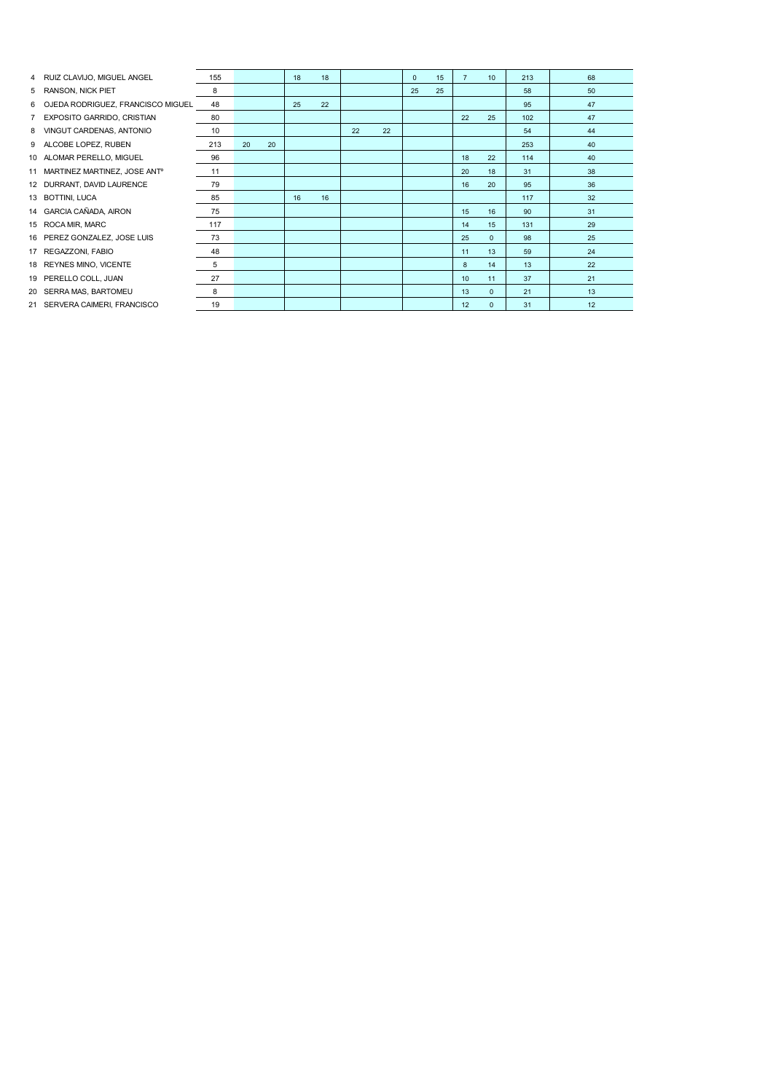|   | 4 RUIZ CLAVIJO, MIGUEL ANGEL                | 155 |    |    | 18 | 18 |    |    | $\mathbf{0}$ | 15 | $\overline{7}$ | 10           | 213 | 68 |
|---|---------------------------------------------|-----|----|----|----|----|----|----|--------------|----|----------------|--------------|-----|----|
|   | 5 RANSON, NICK PIET                         | 8   |    |    |    |    |    |    | 25           | 25 |                |              | 58  | 50 |
| 6 | OJEDA RODRIGUEZ, FRANCISCO MIGUEL           | 48  |    |    | 25 | 22 |    |    |              |    |                |              | 95  | 47 |
|   | 7 EXPOSITO GARRIDO, CRISTIAN                | 80  |    |    |    |    |    |    |              |    | 22             | 25           | 102 | 47 |
| 8 | VINGUT CARDENAS, ANTONIO                    | 10  |    |    |    |    | 22 | 22 |              |    |                |              | 54  | 44 |
|   | 9 ALCOBE LOPEZ, RUBEN                       | 213 | 20 | 20 |    |    |    |    |              |    |                |              | 253 | 40 |
|   | 10 ALOMAR PERELLO, MIGUEL                   | 96  |    |    |    |    |    |    |              |    | 18             | 22           | 114 | 40 |
|   | 11 MARTINEZ MARTINEZ, JOSE ANT <sup>o</sup> | 11  |    |    |    |    |    |    |              |    | 20             | 18           | 31  | 38 |
|   | 12 DURRANT, DAVID LAURENCE                  | 79  |    |    |    |    |    |    |              |    | 16             | 20           | 95  | 36 |
|   | 13 BOTTINI, LUCA                            | 85  |    |    | 16 | 16 |    |    |              |    |                |              | 117 | 32 |
|   | 14 GARCIA CAÑADA, AIRON                     | 75  |    |    |    |    |    |    |              |    | 15             | 16           | 90  | 31 |
|   | 15 ROCA MIR, MARC                           | 117 |    |    |    |    |    |    |              |    | 14             | 15           | 131 | 29 |
|   | 16 PEREZ GONZALEZ, JOSE LUIS                | 73  |    |    |    |    |    |    |              |    | 25             | $\Omega$     | 98  | 25 |
|   | 17 REGAZZONI, FABIO                         | 48  |    |    |    |    |    |    |              |    | 11             | 13           | 59  | 24 |
|   | 18 REYNES MINO, VICENTE                     | 5   |    |    |    |    |    |    |              |    | 8              | 14           | 13  | 22 |
|   | 19 PERELLO COLL, JUAN                       | 27  |    |    |    |    |    |    |              |    | 10             | 11           | 37  | 21 |
|   | 20 SERRA MAS, BARTOMEU                      | 8   |    |    |    |    |    |    |              |    | 13             | $\Omega$     | 21  | 13 |
|   | 21 SERVERA CAIMERI, FRANCISCO               | 19  |    |    |    |    |    |    |              |    | 12             | $\mathbf{0}$ | 31  | 12 |